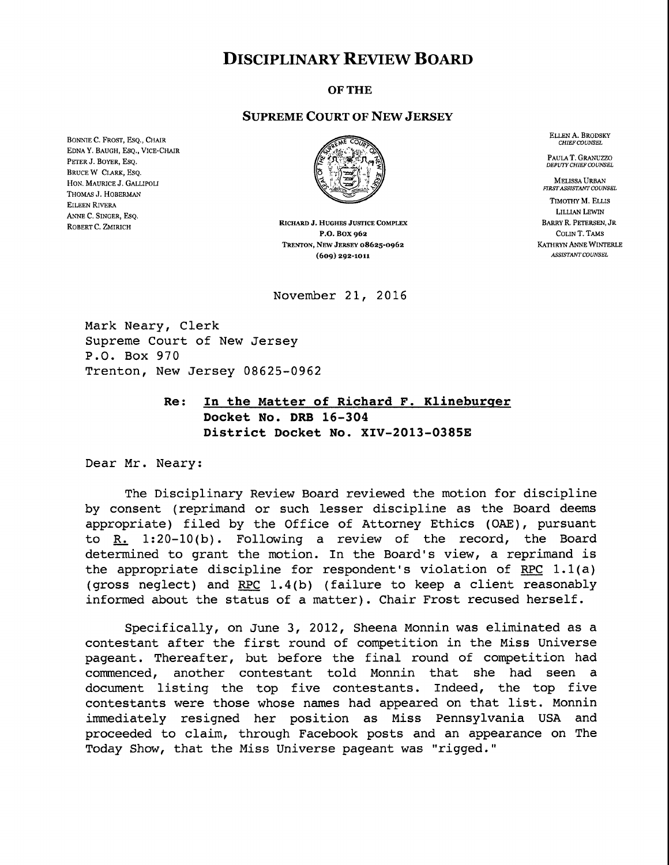## **DISCIPLINARY REVIEW BOARD**

OFTHE

## SUPREME COURT OF NEW JERSEY

BONNIE C. FROST, ESQ., CHAIR EDNA Y. BAUGH, ESQ., VICE-CHAIR PETER J. BOYER, ESQ. BRUCE W CLARK, ESQ, HON. MAURICE J. GALLIPOLI THOMAS J. HOBERMAN EILEEN RIVERA ANNE C, SINGER, ESQ, ROBERT C. ZMIRICH



RICHARD J. HUGHES JUSTICE COMPLEX P.O. BOX 962 TRENTON, NEW JERSEY 08625-0962 (609) 292-1Oll

November 21, 2016

Mark Neary, Clerk Supreme Court of New Jersey P.O. Box 970 Trenton, New Jersey 08625-0962

## **Re: In the Matter of Richard F. Klineburqer Docket No. DRB 16-304 District Docket No. XIV-2013-0385E**

Dear Mr. Neary:

The Disciplinary Review Board reviewed the motion for discipline by consent (reprimand or such lesser discipline as the Board deems appropriate) filed by the Office of Attorney Ethics (OAE), pursuant to R\_~. l:20-10(b). Following a review of the record, the Board determined to grant the motion. In the Board's view, a reprimand is the appropriate discipline for respondent's violation of RPC  $1.1(a)$ (gross neglect) and RPC 1.4(b) (failure to keep a client reasonably informed about the status of a matter). Chair Frost recused herself.

Specifically, on June 3, 2012, Sheena Monnin was eliminated as a contestant after the first round of competition in the Miss Universe pageant. Thereafter, but before the final round of competition had commenced, another contestant told Monnin that she had seen a document listing the top five contestants. Indeed, the top five contestants were those whose names had appeared on that list. Monnin immediately resigned her position as Miss Pennsylvania USA and proceeded to claim, through Facebook posts and an appearance on The Today Show, that the Miss Universe pageant was "rigged."

ELLEN A. BRODSKY *CHIEF COUNSEL*

PAULA **T.** GRANUZZO *DEPUTY CHIEF COUNSEL*

MELISSA URBAN *FIRST ASSISTANT COUNSEL* TIMOTHY M, ELLIS LILLIAN LEWIN BARRY R. PETERSEN, dR COLIN T. TAMS KATHRYN ANNE WINTERLE **ASSISTANT COUNSEL**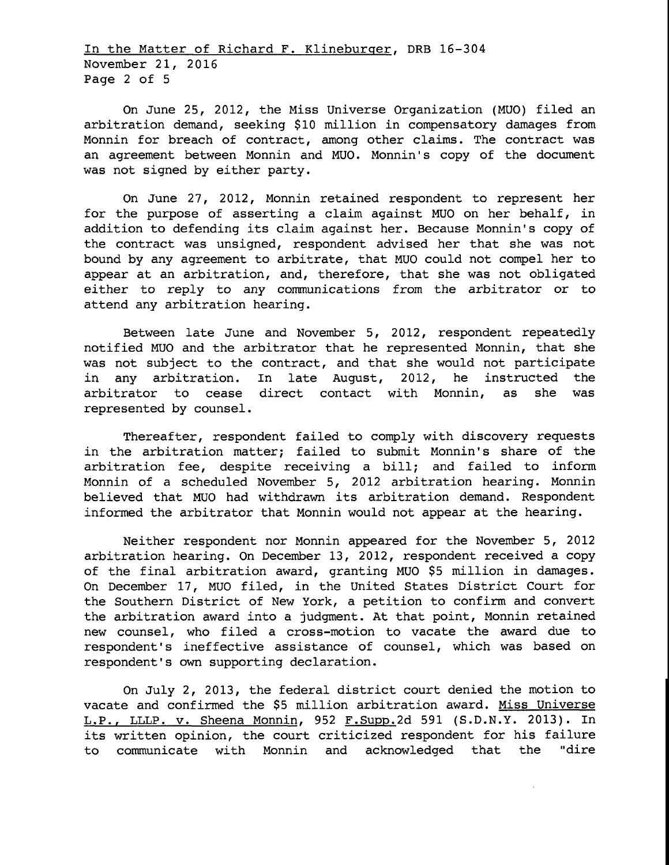In the Matter of Richard F. Klineburqer, DRB 16-304 November 21, 2016 Page 2 of 5

On June 25, 2012, the Miss Universe Organization (MUO) filed an arbitration demand, seeking \$i0 million in compensatory damages from Monnin for breach of contract, among other claims. The contract was an agreement between Monnin and MUO. Monnin's copy of the document was not signed by either party.

On June 27, 2012, Monnin retained respondent to represent her for the purpose of asserting a claim against MUO on her behalf, in addition to defending its claim against her. Because Monnin's copy of the contract was unsigned, respondent advised her that she was not bound by any agreement to arbitrate, that MUO could not compel her to appear at an arbitration, and, therefore, that she was not obligated either to reply to any communications from the arbitrator or to attend any arbitration hearing.

Between late June and November 5, 2012, respondent repeatedly notified MUO and the arbitrator that he represented Monnin, that she was not subject to the contract, and that she would not participate in any arbitration. In late August, 2012, he instructed the arbitrator to cease direct contact with Monnin, as she was represented by counsel.

Thereafter, respondent failed to comply with discovery requests in the arbitration matter; failed to submit Monnin's share of the arbitration fee, despite receiving a bill; and failed to inform Monnin of a scheduled November 5, 2012 arbitration hearing. Monnin believed that MUO had withdrawn its arbitration demand. Respondent informed the arbitrator that Monnin would not appear at the hearing.

Neither respondent nor Monnin appeared for the November 5, 2012 arbitration hearing. On December 13, 2012, respondent received a copy of the final arbitration award, granting MUO \$5 million in damages. On December 17, MUO filed, in the United States District Court for the Southern District of New York, a petition to confirm and convert the arbitration award into a judgment. At that point, Monnin retained new counsel, who filed a cross-motion to vacate the award due to respondent's ineffective assistance of counsel, which was based on respondent's own supporting declaration.

On July 2, 2013, the federal district court denied the motion to vacate and confirmed the \$5 million arbitration award. Miss Universe L.P., LLLP. v. Sheena Monnin, 952 F.Supp.2d 591 (S.D.N.Y. 2013). In its written opinion, the court criticized respondent for his failure to communicate with Monnin and acknowledged that the "dire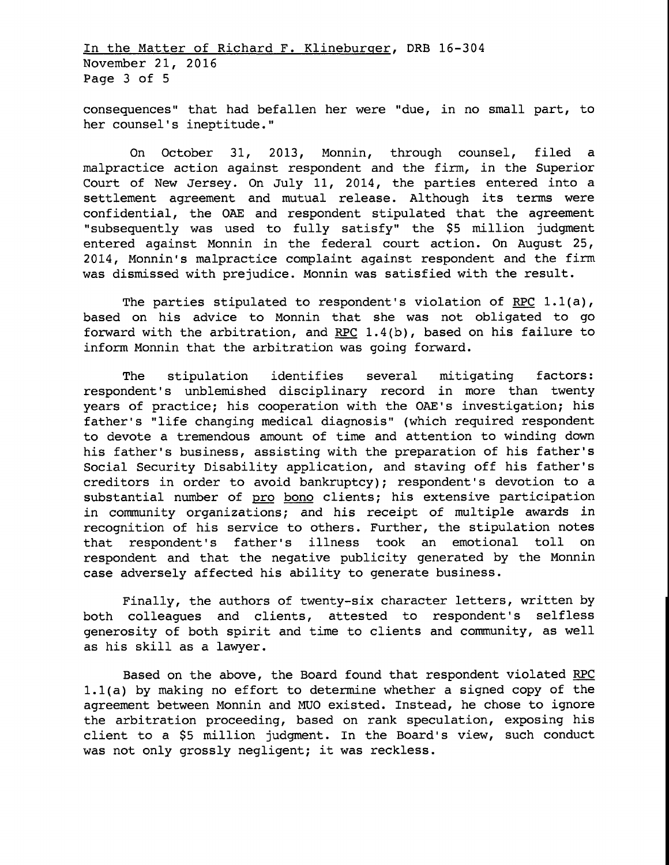In the Matter of Richard F. Klineburqer, DRB 16-304 November 21, 2016 Page 3 of 5

consequences" that had befallen her were "due, in no small part, to her counsel's ineptitude."

On October 31, 2013, Monnin, through counsel, filed a malpractice action against respondent and the firm, in the Superior Court of New Jersey. On July ii, 2014, the parties entered into a settlement agreement and mutual release. Although its terms were confidential, the OAE and respondent stipulated that the agreement "subsequently was used to fully satisfy" the \$5 million judgment entered against Monnin in the federal court action. On August 25, 2014, Monnin's malpractice complaint against respondent and the firm was dismissed with prejudice. Monnin was satisfied with the result.

The parties stipulated to respondent's violation of RPC  $1.1(a)$ , based on his advice to Monnin that she was not obligated to go forward with the arbitration, and RPC 1.4(b), based on his failure to inform Monnin that the arbitration was going forward.

The stipulation identifies several mitigating factors: respondent's unblemished disciplinary record in more than twenty years of practice; his cooperation with the OAE's investigation; his father's "life changing medical diagnosis" (which required respondent to devote a tremendous amount of time and attention to winding down his father's business, assisting with the preparation of his father's Social Security Disability application, and staving off his father's creditors in order to avoid bankruptcy); respondent's devotion to a substantial number of pro bono clients; his extensive participation in community organizations; and his receipt of multiple awards in recognition of his service to others. Further, the stipulation notes that respondent's father's illness took an emotional toll on respondent and that the negative publicity generated by the Monnin case adversely affected his ability to generate business.

Finally, the authors of twenty-six character letters, written by both colleagues and clients, attested to respondent's selfless generosity of both spirit and time to clients and community, as well as his skill as a lawyer.

Based on the above, the Board found that respondent violated RPC l.l(a) by making no effort to determine whether a signed copy of the agreement between Monnin and MUO existed. Instead, he chose to ignore the arbitration proceeding, based on rank speculation, exposing his client to a \$5 million judgment. In the Board's view, such conduct was not only grossly negligent; it was reckless.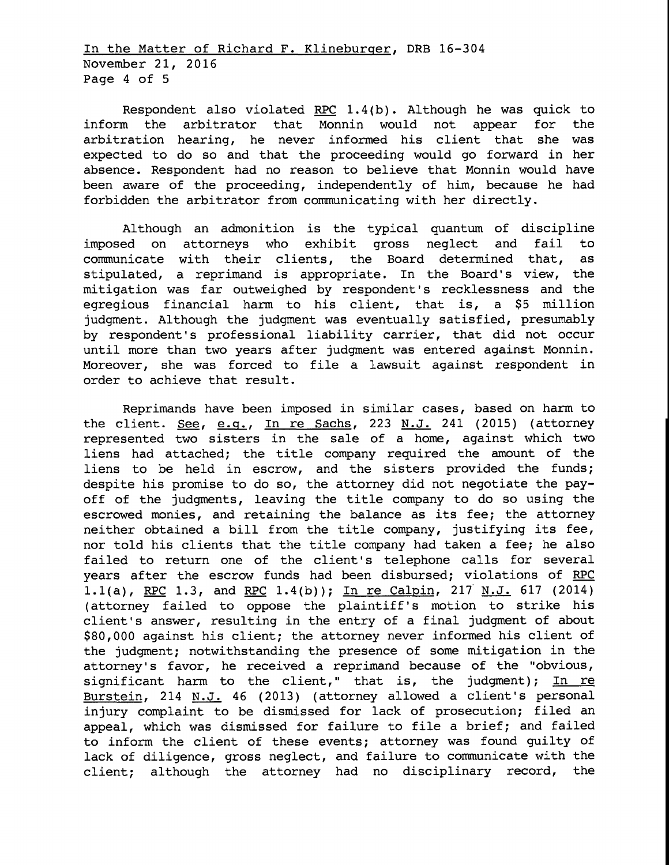In the Matter of Richard F. Klineburqer, DRB 16-304 November 21, 2016 Page 4 of 5

Respondent also violated RPC  $1.4(b)$ . Although he was quick to inform the arbitrator that Monnin would not appear for the arbitration hearing, he never informed his client that she was expected to do so and that the proceeding would go forward in her absence. Respondent had no reason to believe that Monnin would have been aware of the proceeding, independently of him, because he had forbidden the arbitrator from communicating with her directly.

Although an admonition is the typical quantum of discipline imposed on attorneys who exhibit gross neglect and fail to communicate with their clients, the Board determined that, as stipulated, a reprimand is appropriate. In the Board's view, the mitigation was far outweighed by respondent's recklessness and the egregious financial harm to his client, that is, a \$5 million judgment. Although the judgment was eventually satisfied, presumably by respondent's professional liability carrier, that did not occur until more than two years after judgment was entered against Monnin. Moreover, she was forced to file a lawsuit against respondent in order to achieve that result.

Reprimands have been imposed in similar cases, based on harm to the client. See, e.g., In re Sachs, 223 N.J. 241 (2015) (attorney represented two sisters in the sale of a home, against which two liens had attached; the title company required the amount of the liens to be held in escrow, and the sisters provided the funds; despite his promise to do so, the attorney did not negotiate the payoff of the judgments, leaving the title company to do so using the escrowed monies, and retaining the balance as its fee; the attorney neither obtained a bill from the title company, justifying its fee, nor told his clients that the title company had taken a fee; he also failed to return one of the client's telephone calls for several years after the escrow funds had been disbursed; violations of RPC l.l(a), RPC 1.3, and RPC 1.4(b)); In re Calpin, 217 N.J. 617 (2014) (attorney failed to oppose the plaintiff's motion to strike his client's answer, resulting in the entry of a final judgment of about \$80,000 against his client; the attorney never informed his client of the judgment; notwithstanding the presence of some mitigation in the attorney's favor, he received a reprimand because of the "obvious, significant harm to the client," that is, the judgment); In re Burstein, 214 N.J. 46 (2013) (attorney allowed a client's personal injury complaint to be dismissed for lack of prosecution; filed an appeal, which was dismissed for failure to file a brief; and failed to inform the client of these events; attorney was found guilty of lack of diligence, gross neglect, and failure to communicate with the client; although the attorney had no disciplinary record, the